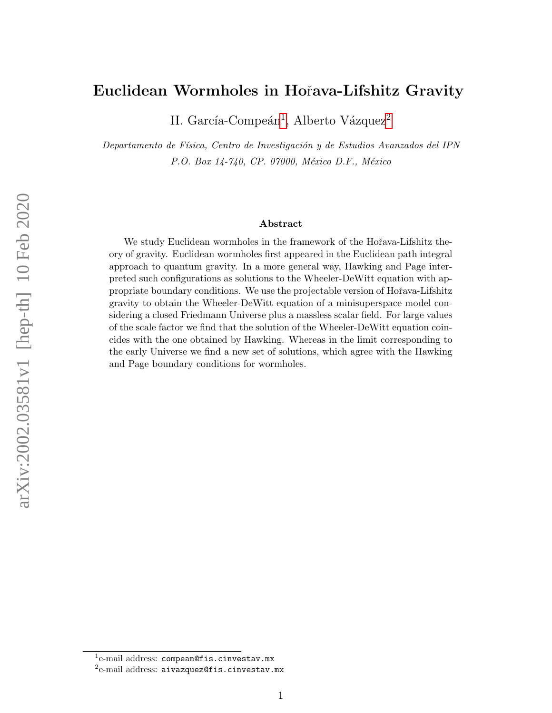### Euclidean Wormholes in Hoˇrava-Lifshitz Gravity

H. García-Compeán<sup>[1](#page-0-0)</sup>, Alberto Vázquez<sup>[2](#page-0-1)</sup>

Departamento de Física, Centro de Investigación y de Estudios Avanzados del IPN P.O. Box 14-740, CP. 07000, México D.F., México

#### Abstract

We study Euclidean wormholes in the framework of the Hořava-Lifshitz theory of gravity. Euclidean wormholes first appeared in the Euclidean path integral approach to quantum gravity. In a more general way, Hawking and Page interpreted such configurations as solutions to the Wheeler-DeWitt equation with appropriate boundary conditions. We use the projectable version of Hořava-Lifshitz gravity to obtain the Wheeler-DeWitt equation of a minisuperspace model considering a closed Friedmann Universe plus a massless scalar field. For large values of the scale factor we find that the solution of the Wheeler-DeWitt equation coincides with the one obtained by Hawking. Whereas in the limit corresponding to the early Universe we find a new set of solutions, which agree with the Hawking and Page boundary conditions for wormholes.

<span id="page-0-0"></span><sup>&</sup>lt;sup>1</sup>e-mail address: compean@fis.cinvestav.mx

<span id="page-0-1"></span> $^{2}$ e-mail address: aivazquez@fis.cinvestav.mx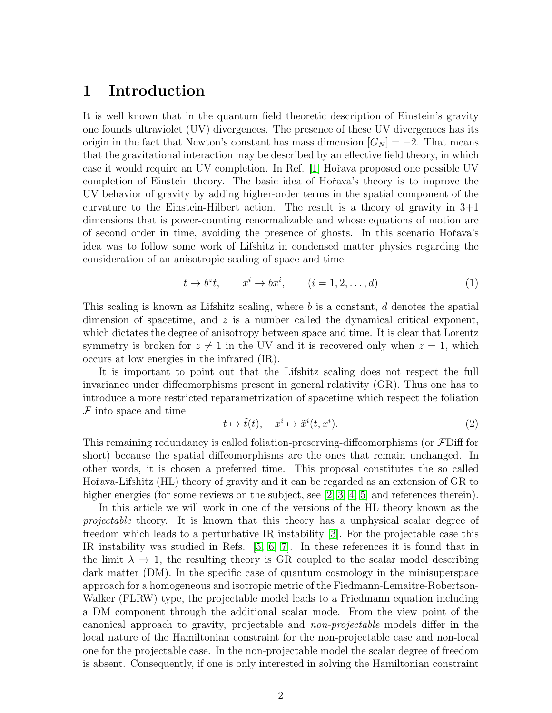## 1 Introduction

It is well known that in the quantum field theoretic description of Einstein's gravity one founds ultraviolet (UV) divergences. The presence of these UV divergences has its origin in the fact that Newton's constant has mass dimension  $|G_N| = -2$ . That means that the gravitational interaction may be described by an effective field theory, in which case it would require an UV completion. In Ref. [\[1\]](#page-19-0) Hořava proposed one possible UV completion of Einstein theory. The basic idea of Hoˇrava's theory is to improve the UV behavior of gravity by adding higher-order terms in the spatial component of the curvature to the Einstein-Hilbert action. The result is a theory of gravity in  $3+1$ dimensions that is power-counting renormalizable and whose equations of motion are of second order in time, avoiding the presence of ghosts. In this scenario Hoˇrava's idea was to follow some work of Lifshitz in condensed matter physics regarding the consideration of an anisotropic scaling of space and time

$$
t \to b^z t, \qquad x^i \to b x^i, \qquad (i = 1, 2, \dots, d)
$$
 (1)

This scaling is known as Lifshitz scaling, where  $b$  is a constant,  $d$  denotes the spatial dimension of spacetime, and  $z$  is a number called the dynamical critical exponent, which dictates the degree of anisotropy between space and time. It is clear that Lorentz symmetry is broken for  $z \neq 1$  in the UV and it is recovered only when  $z = 1$ , which occurs at low energies in the infrared (IR).

It is important to point out that the Lifshitz scaling does not respect the full invariance under diffeomorphisms present in general relativity (GR). Thus one has to introduce a more restricted reparametrization of spacetime which respect the foliation  $\mathcal F$  into space and time

$$
t \mapsto \tilde{t}(t), \quad x^i \mapsto \tilde{x}^i(t, x^i). \tag{2}
$$

This remaining redundancy is called foliation-preserving-diffeomorphisms (or FDiff for short) because the spatial diffeomorphisms are the ones that remain unchanged. In other words, it is chosen a preferred time. This proposal constitutes the so called Hořava-Lifshitz (HL) theory of gravity and it can be regarded as an extension of GR to higher energies (for some reviews on the subject, see [\[2,](#page-19-1) [3,](#page-19-2) [4,](#page-19-3) [5\]](#page-19-4) and references therein).

In this article we will work in one of the versions of the HL theory known as the projectable theory. It is known that this theory has a unphysical scalar degree of freedom which leads to a perturbative IR instability [\[3\]](#page-19-2). For the projectable case this IR instability was studied in Refs. [\[5,](#page-19-4) [6,](#page-19-5) [7\]](#page-19-6). In these references it is found that in the limit  $\lambda \to 1$ , the resulting theory is GR coupled to the scalar model describing dark matter (DM). In the specific case of quantum cosmology in the minisuperspace approach for a homogeneous and isotropic metric of the Fiedmann-Lemaitre-Robertson-Walker (FLRW) type, the projectable model leads to a Friedmann equation including a DM component through the additional scalar mode. From the view point of the canonical approach to gravity, projectable and non-projectable models differ in the local nature of the Hamiltonian constraint for the non-projectable case and non-local one for the projectable case. In the non-projectable model the scalar degree of freedom is absent. Consequently, if one is only interested in solving the Hamiltonian constraint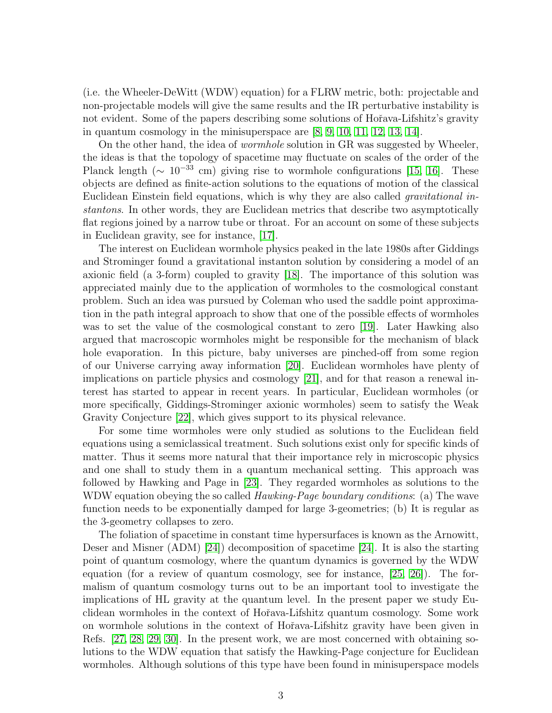(i.e. the Wheeler-DeWitt (WDW) equation) for a FLRW metric, both: projectable and non-projectable models will give the same results and the IR perturbative instability is not evident. Some of the papers describing some solutions of Hořava-Lifshitz's gravity in quantum cosmology in the minisuperspace are [\[8,](#page-19-7) [9,](#page-19-8) [10,](#page-19-9) [11,](#page-19-10) [12,](#page-19-11) [13,](#page-19-12) [14\]](#page-20-0).

On the other hand, the idea of wormhole solution in GR was suggested by Wheeler, the ideas is that the topology of spacetime may fluctuate on scales of the order of the Planck length ( $\sim 10^{-33}$  cm) giving rise to wormhole configurations [\[15,](#page-20-1) [16\]](#page-20-2). These objects are defined as finite-action solutions to the equations of motion of the classical Euclidean Einstein field equations, which is why they are also called gravitational instantons. In other words, they are Euclidean metrics that describe two asymptotically flat regions joined by a narrow tube or throat. For an account on some of these subjects in Euclidean gravity, see for instance, [\[17\]](#page-20-3).

The interest on Euclidean wormhole physics peaked in the late 1980s after Giddings and Strominger found a gravitational instanton solution by considering a model of an axionic field (a 3-form) coupled to gravity [\[18\]](#page-20-4). The importance of this solution was appreciated mainly due to the application of wormholes to the cosmological constant problem. Such an idea was pursued by Coleman who used the saddle point approximation in the path integral approach to show that one of the possible effects of wormholes was to set the value of the cosmological constant to zero [\[19\]](#page-20-5). Later Hawking also argued that macroscopic wormholes might be responsible for the mechanism of black hole evaporation. In this picture, baby universes are pinched-off from some region of our Universe carrying away information [\[20\]](#page-20-6). Euclidean wormholes have plenty of implications on particle physics and cosmology [\[21\]](#page-20-7), and for that reason a renewal interest has started to appear in recent years. In particular, Euclidean wormholes (or more specifically, Giddings-Strominger axionic wormholes) seem to satisfy the Weak Gravity Conjecture [\[22\]](#page-20-8), which gives support to its physical relevance.

For some time wormholes were only studied as solutions to the Euclidean field equations using a semiclassical treatment. Such solutions exist only for specific kinds of matter. Thus it seems more natural that their importance rely in microscopic physics and one shall to study them in a quantum mechanical setting. This approach was followed by Hawking and Page in [\[23\]](#page-20-9). They regarded wormholes as solutions to the WDW equation obeying the so called  $Hawking\$ function needs to be exponentially damped for large 3-geometries; (b) It is regular as the 3-geometry collapses to zero.

The foliation of spacetime in constant time hypersurfaces is known as the Arnowitt, Deser and Misner (ADM) [\[24\]](#page-20-10)) decomposition of spacetime [\[24\]](#page-20-10). It is also the starting point of quantum cosmology, where the quantum dynamics is governed by the WDW equation (for a review of quantum cosmology, see for instance, [\[25,](#page-20-11) [26\]](#page-20-12)). The formalism of quantum cosmology turns out to be an important tool to investigate the implications of HL gravity at the quantum level. In the present paper we study Euclidean wormholes in the context of Hoˇrava-Lifshitz quantum cosmology. Some work on wormhole solutions in the context of Hoˇrava-Lifshitz gravity have been given in Refs. [\[27,](#page-20-13) [28,](#page-20-14) [29,](#page-21-0) [30\]](#page-21-1). In the present work, we are most concerned with obtaining solutions to the WDW equation that satisfy the Hawking-Page conjecture for Euclidean wormholes. Although solutions of this type have been found in minisuperspace models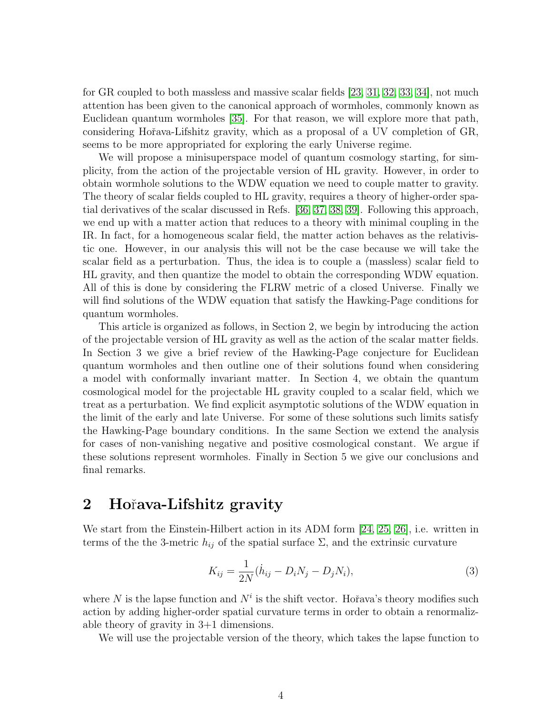for GR coupled to both massless and massive scalar fields [\[23,](#page-20-9) [31,](#page-21-2) [32,](#page-21-3) [33,](#page-21-4) [34\]](#page-21-5), not much attention has been given to the canonical approach of wormholes, commonly known as Euclidean quantum wormholes [\[35\]](#page-21-6). For that reason, we will explore more that path, considering Hoˇrava-Lifshitz gravity, which as a proposal of a UV completion of GR, seems to be more appropriated for exploring the early Universe regime.

We will propose a minisuperspace model of quantum cosmology starting, for simplicity, from the action of the projectable version of HL gravity. However, in order to obtain wormhole solutions to the WDW equation we need to couple matter to gravity. The theory of scalar fields coupled to HL gravity, requires a theory of higher-order spatial derivatives of the scalar discussed in Refs. [\[36,](#page-21-7) [37,](#page-21-8) [38,](#page-21-9) [39\]](#page-21-10). Following this approach, we end up with a matter action that reduces to a theory with minimal coupling in the IR. In fact, for a homogeneous scalar field, the matter action behaves as the relativistic one. However, in our analysis this will not be the case because we will take the scalar field as a perturbation. Thus, the idea is to couple a (massless) scalar field to HL gravity, and then quantize the model to obtain the corresponding WDW equation. All of this is done by considering the FLRW metric of a closed Universe. Finally we will find solutions of the WDW equation that satisfy the Hawking-Page conditions for quantum wormholes.

This article is organized as follows, in Section 2, we begin by introducing the action of the projectable version of HL gravity as well as the action of the scalar matter fields. In Section 3 we give a brief review of the Hawking-Page conjecture for Euclidean quantum wormholes and then outline one of their solutions found when considering a model with conformally invariant matter. In Section 4, we obtain the quantum cosmological model for the projectable HL gravity coupled to a scalar field, which we treat as a perturbation. We find explicit asymptotic solutions of the WDW equation in the limit of the early and late Universe. For some of these solutions such limits satisfy the Hawking-Page boundary conditions. In the same Section we extend the analysis for cases of non-vanishing negative and positive cosmological constant. We argue if these solutions represent wormholes. Finally in Section 5 we give our conclusions and final remarks.

## 2 Hořava-Lifshitz gravity

We start from the Einstein-Hilbert action in its ADM form [\[24,](#page-20-10) [25,](#page-20-11) [26\]](#page-20-12), i.e. written in terms of the the 3-metric  $h_{ij}$  of the spatial surface  $\Sigma$ , and the extrinsic curvature

$$
K_{ij} = \frac{1}{2N}(\dot{h}_{ij} - D_i N_j - D_j N_i),
$$
\n(3)

where N is the lapse function and  $N^i$  is the shift vector. Hořava's theory modifies such action by adding higher-order spatial curvature terms in order to obtain a renormalizable theory of gravity in 3+1 dimensions.

We will use the projectable version of the theory, which takes the lapse function to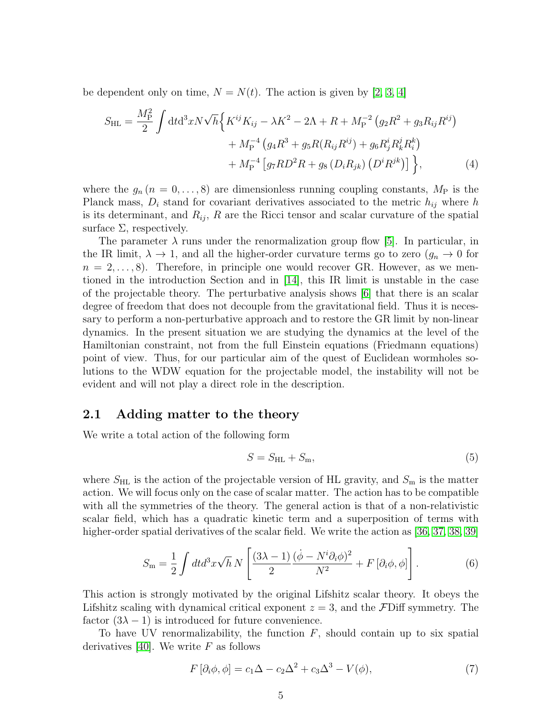be dependent only on time,  $N = N(t)$ . The action is given by [\[2,](#page-19-1) [3,](#page-19-2) [4\]](#page-19-3)

$$
S_{\rm HL} = \frac{M_{\rm P}^2}{2} \int dt d^3x N \sqrt{h} \Big\{ K^{ij} K_{ij} - \lambda K^2 - 2\Lambda + R + M_{\rm P}^{-2} \left( g_2 R^2 + g_3 R_{ij} R^{ij} \right) + M_{\rm P}^{-4} \left( g_4 R^3 + g_5 R (R_{ij} R^{ij}) + g_6 R^i_j R^j_k R^k_i \right) + M_{\rm P}^{-4} \left[ g_7 R D^2 R + g_8 \left( D_i R_{jk} \right) \left( D^i R^{jk} \right) \right] \Big\}, \tag{4}
$$

where the  $g_n (n = 0, \ldots, 8)$  are dimensionless running coupling constants,  $M_P$  is the Planck mass,  $D_i$  stand for covariant derivatives associated to the metric  $h_{ij}$  where h is its determinant, and  $R_{ij}$ , R are the Ricci tensor and scalar curvature of the spatial surface  $\Sigma$ , respectively.

The parameter  $\lambda$  runs under the renormalization group flow [\[5\]](#page-19-4). In particular, in the IR limit,  $\lambda \to 1$ , and all the higher-order curvature terms go to zero  $(g_n \to 0$  for  $n = 2, \ldots, 8$ . Therefore, in principle one would recover GR. However, as we mentioned in the introduction Section and in [\[14\]](#page-20-0), this IR limit is unstable in the case of the projectable theory. The perturbative analysis shows [\[6\]](#page-19-5) that there is an scalar degree of freedom that does not decouple from the gravitational field. Thus it is necessary to perform a non-perturbative approach and to restore the GR limit by non-linear dynamics. In the present situation we are studying the dynamics at the level of the Hamiltonian constraint, not from the full Einstein equations (Friedmann equations) point of view. Thus, for our particular aim of the quest of Euclidean wormholes solutions to the WDW equation for the projectable model, the instability will not be evident and will not play a direct role in the description.

#### 2.1 Adding matter to the theory

We write a total action of the following form

$$
S = S_{\rm HL} + S_{\rm m},\tag{5}
$$

where  $S_{\text{HL}}$  is the action of the projectable version of HL gravity, and  $S_{\text{m}}$  is the matter action. We will focus only on the case of scalar matter. The action has to be compatible with all the symmetries of the theory. The general action is that of a non-relativistic scalar field, which has a quadratic kinetic term and a superposition of terms with higher-order spatial derivatives of the scalar field. We write the action as [\[36,](#page-21-7) [37,](#page-21-8) [38,](#page-21-9) [39\]](#page-21-10)

<span id="page-4-0"></span>
$$
S_{\rm m} = \frac{1}{2} \int dt d^3 x \sqrt{h} N \left[ \frac{(3\lambda - 1)}{2} \frac{(\dot{\phi} - N^i \partial_i \phi)^2}{N^2} + F[\partial_i \phi, \phi] \right].
$$
 (6)

This action is strongly motivated by the original Lifshitz scalar theory. It obeys the Lifshitz scaling with dynamical critical exponent  $z = 3$ , and the FDiff symmetry. The factor  $(3\lambda - 1)$  is introduced for future convenience.

To have UV renormalizability, the function  $F$ , should contain up to six spatial derivatives [\[40\]](#page-21-11). We write  $F$  as follows

$$
F\left[\partial_i\phi,\phi\right] = c_1\Delta - c_2\Delta^2 + c_3\Delta^3 - V(\phi),\tag{7}
$$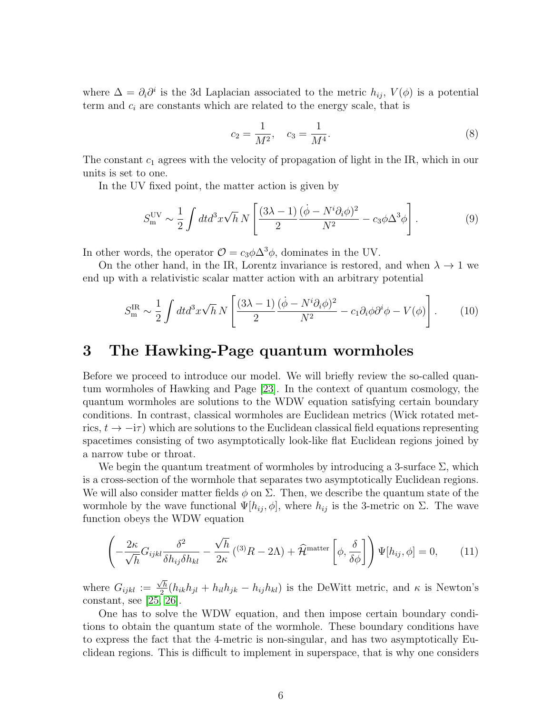where  $\Delta = \partial_i \partial^i$  is the 3d Laplacian associated to the metric  $h_{ij}$ ,  $V(\phi)$  is a potential term and  $c_i$  are constants which are related to the energy scale, that is

$$
c_2 = \frac{1}{M^2}, \quad c_3 = \frac{1}{M^4}.\tag{8}
$$

The constant  $c_1$  agrees with the velocity of propagation of light in the IR, which in our units is set to one.

In the UV fixed point, the matter action is given by

$$
S_{\rm m}^{\rm UV} \sim \frac{1}{2} \int dt d^3x \sqrt{h} N \left[ \frac{(3\lambda - 1)}{2} \frac{(\dot{\phi} - N^i \partial_i \phi)^2}{N^2} - c_3 \phi \Delta^3 \phi \right]. \tag{9}
$$

In other words, the operator  $\mathcal{O} = c_3 \phi \Delta^3 \phi$ , dominates in the UV.

On the other hand, in the IR, Lorentz invariance is restored, and when  $\lambda \to 1$  we end up with a relativistic scalar matter action with an arbitrary potential

$$
S_{\rm m}^{\rm IR} \sim \frac{1}{2} \int dt d^3x \sqrt{h} N \left[ \frac{(3\lambda - 1)}{2} \frac{(\dot{\phi} - N^i \partial_i \phi)^2}{N^2} - c_1 \partial_i \phi \partial^i \phi - V(\phi) \right]. \tag{10}
$$

## 3 The Hawking-Page quantum wormholes

Before we proceed to introduce our model. We will briefly review the so-called quantum wormholes of Hawking and Page [\[23\]](#page-20-9). In the context of quantum cosmology, the quantum wormholes are solutions to the WDW equation satisfying certain boundary conditions. In contrast, classical wormholes are Euclidean metrics (Wick rotated metrics,  $t \to -i\tau$ ) which are solutions to the Euclidean classical field equations representing spacetimes consisting of two asymptotically look-like flat Euclidean regions joined by a narrow tube or throat.

We begin the quantum treatment of wormholes by introducing a 3-surface  $\Sigma$ , which is a cross-section of the wormhole that separates two asymptotically Euclidean regions. We will also consider matter fields  $\phi$  on  $\Sigma$ . Then, we describe the quantum state of the wormhole by the wave functional  $\Psi[h_{ij}, \phi]$ , where  $h_{ij}$  is the 3-metric on  $\Sigma$ . The wave function obeys the WDW equation

$$
\left(-\frac{2\kappa}{\sqrt{h}}G_{ijkl}\frac{\delta^2}{\delta h_{ij}\delta h_{kl}} - \frac{\sqrt{h}}{2\kappa} (^{(3)}R - 2\Lambda) + \hat{\mathcal{H}}^{\text{matter}}\left[\phi, \frac{\delta}{\delta\phi}\right]\right)\Psi[h_{ij}, \phi] = 0, \quad (11)
$$

where  $G_{ijkl} :=$  $\sqrt{h}$  $\frac{\partial h}{\partial n}(h_{ik}h_{jl} + h_{il}h_{jk} - h_{ij}h_{kl})$  is the DeWitt metric, and  $\kappa$  is Newton's constant, see [\[25,](#page-20-11) [26\]](#page-20-12).

One has to solve the WDW equation, and then impose certain boundary conditions to obtain the quantum state of the wormhole. These boundary conditions have to express the fact that the 4-metric is non-singular, and has two asymptotically Euclidean regions. This is difficult to implement in superspace, that is why one considers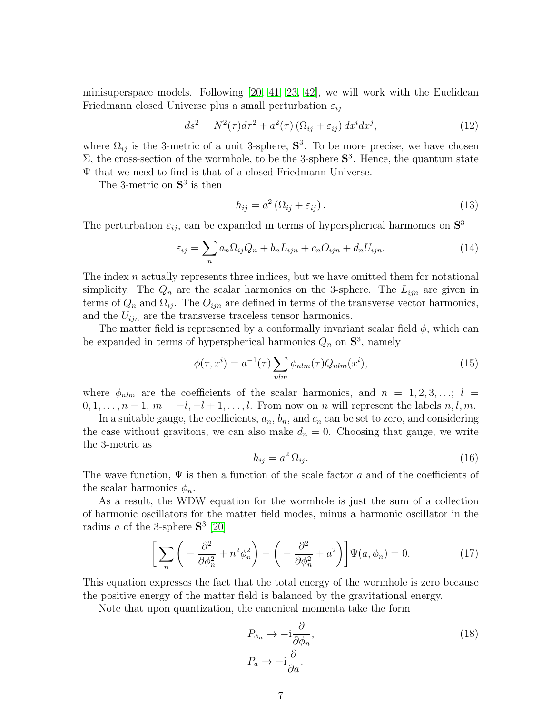minisuperspace models. Following  $[20, 41, 23, 42]$  $[20, 41, 23, 42]$  $[20, 41, 23, 42]$  $[20, 41, 23, 42]$ , we will work with the Euclidean Friedmann closed Universe plus a small perturbation  $\varepsilon_{ii}$ 

$$
ds^{2} = N^{2}(\tau)d\tau^{2} + a^{2}(\tau)(\Omega_{ij} + \varepsilon_{ij}) dx^{i} dx^{j}, \qquad (12)
$$

where  $\Omega_{ij}$  is the 3-metric of a unit 3-sphere,  $S^3$ . To be more precise, we have chosen  $\Sigma$ , the cross-section of the wormhole, to be the 3-sphere  $S^3$ . Hence, the quantum state Ψ that we need to find is that of a closed Friedmann Universe.

The 3-metric on  $S^3$  is then

$$
h_{ij} = a^2 \left( \Omega_{ij} + \varepsilon_{ij} \right). \tag{13}
$$

The perturbation  $\varepsilon_{ij}$ , can be expanded in terms of hyperspherical harmonics on  $S^3$ 

$$
\varepsilon_{ij} = \sum_{n} a_n \Omega_{ij} Q_n + b_n L_{ijn} + c_n O_{ijn} + d_n U_{ijn}.
$$
\n(14)

The index n actually represents three indices, but we have omitted them for notational simplicity. The  $Q_n$  are the scalar harmonics on the 3-sphere. The  $L_{ijn}$  are given in terms of  $Q_n$  and  $\Omega_{ij}$ . The  $O_{ijn}$  are defined in terms of the transverse vector harmonics, and the  $U_{ijn}$  are the transverse traceless tensor harmonics.

The matter field is represented by a conformally invariant scalar field  $\phi$ , which can be expanded in terms of hyperspherical harmonics  $Q_n$  on  $S^3$ , namely

$$
\phi(\tau, x^i) = a^{-1}(\tau) \sum_{nlm} \phi_{nlm}(\tau) Q_{nlm}(x^i), \qquad (15)
$$

where  $\phi_{nlm}$  are the coefficients of the scalar harmonics, and  $n = 1, 2, 3, \ldots; l =$  $0, 1, \ldots, n-1, m = -l, -l+1, \ldots, l$ . From now on n will represent the labels  $n, l, m$ .

In a suitable gauge, the coefficients,  $a_n$ ,  $b_n$ , and  $c_n$  can be set to zero, and considering the case without gravitons, we can also make  $d_n = 0$ . Choosing that gauge, we write the 3-metric as

$$
h_{ij} = a^2 \Omega_{ij}.\tag{16}
$$

The wave function,  $\Psi$  is then a function of the scale factor a and of the coefficients of the scalar harmonics  $\phi_n$ .

As a result, the WDW equation for the wormhole is just the sum of a collection of harmonic oscillators for the matter field modes, minus a harmonic oscillator in the radius *a* of the 3-sphere  $S^3$  [\[20\]](#page-20-6)

<span id="page-6-0"></span>
$$
\left[\sum_{n}\left(-\frac{\partial^{2}}{\partial\phi_{n}^{2}}+n^{2}\phi_{n}^{2}\right)-\left(-\frac{\partial^{2}}{\partial\phi_{n}^{2}}+a^{2}\right)\right]\Psi(a,\phi_{n})=0.\tag{17}
$$

This equation expresses the fact that the total energy of the wormhole is zero because the positive energy of the matter field is balanced by the gravitational energy.

Note that upon quantization, the canonical momenta take the form

$$
P_{\phi_n} \to -\mathrm{i}\frac{\partial}{\partial \phi_n},
$$
  
\n
$$
P_a \to -\mathrm{i}\frac{\partial}{\partial a}.
$$
\n(18)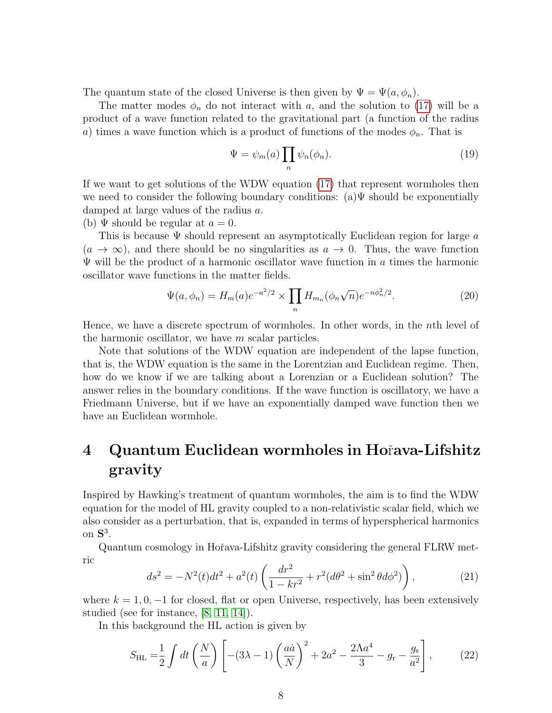The quantum state of the closed Universe is then given by  $\Psi = \Psi(a, \phi_n)$ .

The matter modes  $\phi_n$  do not interact with a, and the solution to [\(17\)](#page-6-0) will be a product of a wave function related to the gravitational part (a function of the radius a) times a wave function which is a product of functions of the modes  $\phi_n$ . That is

$$
\Psi = \psi_m(a) \prod_n \psi_n(\phi_n). \tag{19}
$$

If we want to get solutions of the WDW equation [\(17\)](#page-6-0) that represent wormholes then we need to consider the following boundary conditions:  $(a)\Psi$  should be exponentially damped at large values of the radius a.

(b)  $\Psi$  should be regular at  $a = 0$ .

This is because  $\Psi$  should represent an asymptotically Euclidean region for large a  $(a \to \infty)$ , and there should be no singularities as  $a \to 0$ . Thus, the wave function  $\Psi$  will be the product of a harmonic oscillator wave function in a times the harmonic oscillator wave functions in the matter fields.

$$
\Psi(a,\phi_n) = H_m(a)e^{-a^2/2} \times \prod_n H_{m_n}(\phi_n\sqrt{n})e^{-n\phi_n^2/2}.
$$
\n(20)

Hence, we have a discrete spectrum of wormholes. In other words, in the nth level of the harmonic oscillator, we have  $m$  scalar particles.

Note that solutions of the WDW equation are independent of the lapse function, that is, the WDW equation is the same in the Lorentzian and Euclidean regime. Then, how do we know if we are talking about a Lorenzian or a Euclidean solution? The answer relies in the boundary conditions. If the wave function is oscillatory, we have a Friedmann Universe, but if we have an exponentially damped wave function then we have an Euclidean wormhole.

# 4 Quantum Euclidean wormholes in Hoˇrava-Lifshitz gravity

Inspired by Hawking's treatment of quantum wormholes, the aim is to find the WDW equation for the model of HL gravity coupled to a non-relativistic scalar field, which we also consider as a perturbation, that is, expanded in terms of hyperspherical harmonics on  $S^3$ .

Quantum cosmology in Hořava-Lifshitz gravity considering the general FLRW metric

<span id="page-7-0"></span>
$$
ds^{2} = -N^{2}(t)dt^{2} + a^{2}(t)\left(\frac{dr^{2}}{1 - kr^{2}} + r^{2}(d\theta^{2} + \sin^{2}\theta d\phi^{2})\right),
$$
 (21)

where  $k = 1, 0, -1$  for closed, flat or open Universe, respectively, has been extensively studied (see for instance, [\[8,](#page-19-7) [11,](#page-19-10) [14\]](#page-20-0)).

In this background the HL action is given by

$$
S_{\rm HL} = \frac{1}{2} \int dt \left(\frac{N}{a}\right) \left[ -(3\lambda - 1) \left(\frac{a\dot{a}}{N}\right)^2 + 2a^2 - \frac{2\Lambda a^4}{3} - g_{\rm r} - \frac{g_{\rm s}}{a^2} \right],\tag{22}
$$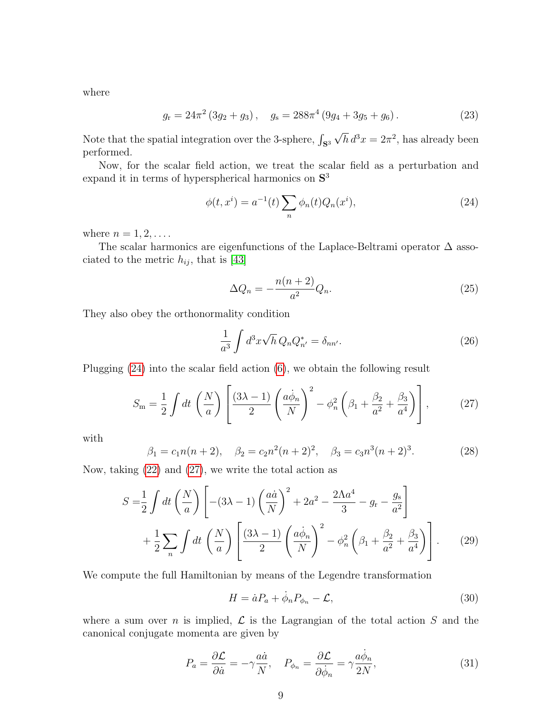where

$$
g_{\rm r} = 24\pi^2 \left(3g_2 + g_3\right), \quad g_{\rm s} = 288\pi^4 \left(9g_4 + 3g_5 + g_6\right). \tag{23}
$$

Note that the spatial integration over the 3-sphere,  $\int_{\mathbf{S}^3}$  $\overline{h} d^3x = 2\pi^2$ , has already been performed.

Now, for the scalar field action, we treat the scalar field as a perturbation and expand it in terms of hyperspherical harmonics on  $S<sup>3</sup>$ 

<span id="page-8-0"></span>
$$
\phi(t, x^{i}) = a^{-1}(t) \sum_{n} \phi_{n}(t) Q_{n}(x^{i}), \qquad (24)
$$

where  $n = 1, 2, \ldots$ .

The scalar harmonics are eigenfunctions of the Laplace-Beltrami operator ∆ associated to the metric  $h_{ij}$ , that is [\[43\]](#page-22-0)

$$
\Delta Q_n = -\frac{n(n+2)}{a^2} Q_n. \tag{25}
$$

They also obey the orthonormality condition

$$
\frac{1}{a^3} \int d^3x \sqrt{h} Q_n Q_{n'}^* = \delta_{nn'}.
$$
\n(26)

Plugging [\(24\)](#page-8-0) into the scalar field action [\(6\)](#page-4-0), we obtain the following result

<span id="page-8-1"></span>
$$
S_{\rm m} = \frac{1}{2} \int dt \left(\frac{N}{a}\right) \left[ \frac{(3\lambda - 1)}{2} \left(\frac{a\dot{\phi}_n}{N}\right)^2 - \phi_n^2 \left(\beta_1 + \frac{\beta_2}{a^2} + \frac{\beta_3}{a^4}\right) \right],\tag{27}
$$

with

$$
\beta_1 = c_1 n(n+2), \quad \beta_2 = c_2 n^2 (n+2)^2, \quad \beta_3 = c_3 n^3 (n+2)^3. \tag{28}
$$

Now, taking [\(22\)](#page-7-0) and [\(27\)](#page-8-1), we write the total action as

$$
S = \frac{1}{2} \int dt \left(\frac{N}{a}\right) \left[ -(3\lambda - 1) \left(\frac{a\dot{a}}{N}\right)^2 + 2a^2 - \frac{2\Lambda a^4}{3} - g_r - \frac{g_s}{a^2} \right] + \frac{1}{2} \sum_n \int dt \left(\frac{N}{a}\right) \left[ \frac{(3\lambda - 1)}{2} \left(\frac{a\dot{\phi}_n}{N}\right)^2 - \phi_n^2 \left(\beta_1 + \frac{\beta_2}{a^2} + \frac{\beta_3}{a^4}\right) \right].
$$
 (29)

We compute the full Hamiltonian by means of the Legendre transformation

$$
H = \dot{a}P_a + \dot{\phi}_n P_{\phi_n} - \mathcal{L},\tag{30}
$$

where a sum over *n* is implied,  $\mathcal L$  is the Lagrangian of the total action S and the canonical conjugate momenta are given by

$$
P_a = \frac{\partial \mathcal{L}}{\partial \dot{a}} = -\gamma \frac{a\dot{a}}{N}, \quad P_{\phi_n} = \frac{\partial \mathcal{L}}{\partial \dot{\phi}_n} = \gamma \frac{a\dot{\phi}_n}{2N},\tag{31}
$$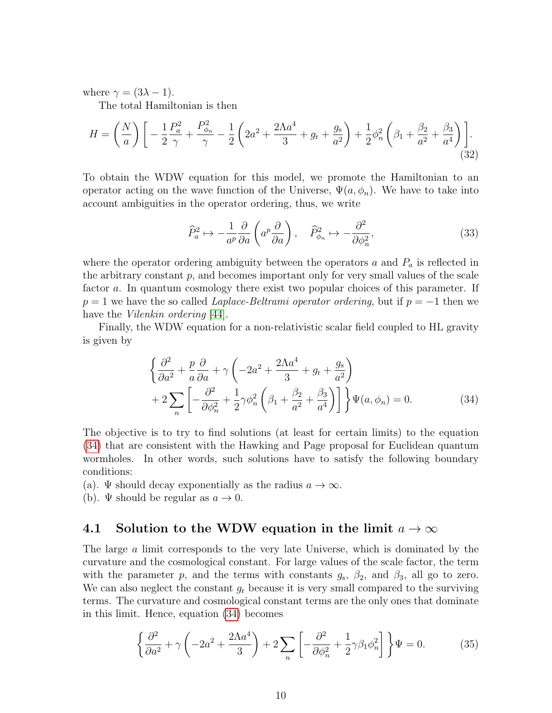where  $\gamma = (3\lambda - 1)$ .

The total Hamiltonian is then

$$
H = \left(\frac{N}{a}\right) \left[ -\frac{1}{2} \frac{P_a^2}{\gamma} + \frac{P_{\phi_n}^2}{\gamma} - \frac{1}{2} \left(2a^2 + \frac{2\Lambda a^4}{3} + g_\text{r} + \frac{g_\text{s}}{a^2}\right) + \frac{1}{2} \phi_n^2 \left(\beta_1 + \frac{\beta_2}{a^2} + \frac{\beta_3}{a^4}\right) \right].\tag{32}
$$

To obtain the WDW equation for this model, we promote the Hamiltonian to an operator acting on the wave function of the Universe,  $\Psi(a, \phi_n)$ . We have to take into account ambiguities in the operator ordering, thus, we write

$$
\widehat{P}_a^2 \mapsto -\frac{1}{a^p} \frac{\partial}{\partial a} \left( a^p \frac{\partial}{\partial a} \right), \quad \widehat{P}_{\phi_n}^2 \mapsto -\frac{\partial^2}{\partial \phi_n^2},\tag{33}
$$

where the operator ordering ambiguity between the operators  $a$  and  $P_a$  is reflected in the arbitrary constant  $p$ , and becomes important only for very small values of the scale factor a. In quantum cosmology there exist two popular choices of this parameter. If  $p = 1$  we have the so called *Laplace-Beltrami operator ordering*, but if  $p = -1$  then we have the *Vilenkin ordering* [\[44\]](#page-22-1).

Finally, the WDW equation for a non-relativistic scalar field coupled to HL gravity is given by

<span id="page-9-0"></span>
$$
\begin{aligned}\n\left\{\frac{\partial^2}{\partial a^2} + \frac{p}{a}\frac{\partial}{\partial a} + \gamma \left(-2a^2 + \frac{2\Lambda a^4}{3} + g_r + \frac{g_s}{a^2}\right) \right. \\
\left. + 2\sum_n \left[ -\frac{\partial^2}{\partial \phi_n^2} + \frac{1}{2}\gamma \phi_n^2 \left(\beta_1 + \frac{\beta_2}{a^2} + \frac{\beta_3}{a^4}\right) \right] \right\}\Psi(a, \phi_n) = 0.\n\end{aligned} \tag{34}
$$

The objective is to try to find solutions (at least for certain limits) to the equation [\(34\)](#page-9-0) that are consistent with the Hawking and Page proposal for Euclidean quantum wormholes. In other words, such solutions have to satisfy the following boundary conditions:

- (a).  $\Psi$  should decay exponentially as the radius  $a \to \infty$ .
- (b).  $\Psi$  should be regular as  $a \to 0$ .

### 4.1 Solution to the WDW equation in the limit  $a \to \infty$

The large a limit corresponds to the very late Universe, which is dominated by the curvature and the cosmological constant. For large values of the scale factor, the term with the parameter p, and the terms with constants  $g_s$ ,  $\beta_2$ , and  $\beta_3$ , all go to zero. We can also neglect the constant  $g_r$  because it is very small compared to the surviving terms. The curvature and cosmological constant terms are the only ones that dominate in this limit. Hence, equation [\(34\)](#page-9-0) becomes

$$
\left\{\frac{\partial^2}{\partial a^2} + \gamma \left(-2a^2 + \frac{2\Lambda a^4}{3}\right) + 2\sum_n \left[-\frac{\partial^2}{\partial \phi_n^2} + \frac{1}{2}\gamma \beta_1 \phi_n^2\right]\right\}\Psi = 0.
$$
 (35)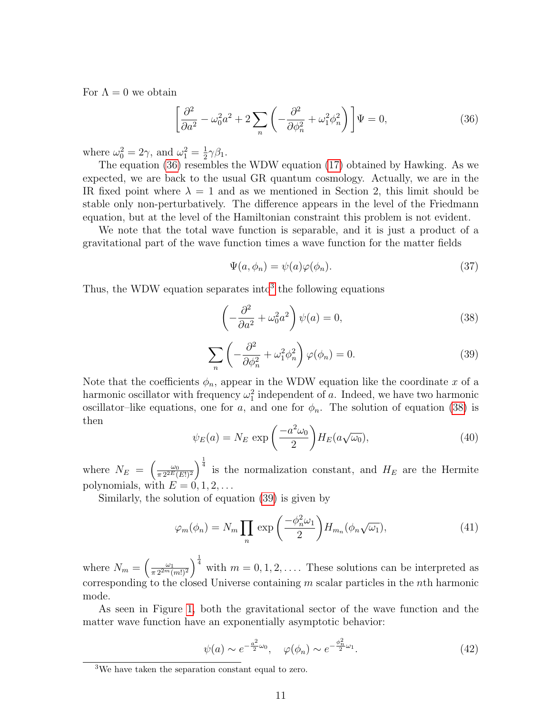For  $\Lambda = 0$  we obtain

$$
\left[\frac{\partial^2}{\partial a^2} - \omega_0^2 a^2 + 2 \sum_n \left( -\frac{\partial^2}{\partial \phi_n^2} + \omega_1^2 \phi_n^2 \right) \right] \Psi = 0, \tag{36}
$$

where  $\omega_0^2 = 2\gamma$ , and  $\omega_1^2 = \frac{1}{2}$  $rac{1}{2}\gamma\beta_1$ .

The equation [\(36\)](#page-10-0) resembles the WDW equation [\(17\)](#page-6-0) obtained by Hawking. As we expected, we are back to the usual GR quantum cosmology. Actually, we are in the IR fixed point where  $\lambda = 1$  and as we mentioned in Section 2, this limit should be stable only non-perturbatively. The difference appears in the level of the Friedmann equation, but at the level of the Hamiltonian constraint this problem is not evident.

We note that the total wave function is separable, and it is just a product of a gravitational part of the wave function times a wave function for the matter fields

<span id="page-10-0"></span>
$$
\Psi(a,\phi_n) = \psi(a)\varphi(\phi_n). \tag{37}
$$

Thus, the WDW equation separates into  $3$  the following equations

<span id="page-10-2"></span>
$$
\left(-\frac{\partial^2}{\partial a^2} + \omega_0^2 a^2\right)\psi(a) = 0,\tag{38}
$$

<span id="page-10-3"></span>
$$
\sum_{n} \left( -\frac{\partial^2}{\partial \phi_n^2} + \omega_1^2 \phi_n^2 \right) \varphi(\phi_n) = 0. \tag{39}
$$

Note that the coefficients  $\phi_n$ , appear in the WDW equation like the coordinate x of a harmonic oscillator with frequency  $\omega_1^2$  independent of a. Indeed, we have two harmonic oscillator–like equations, one for a, and one for  $\phi_n$ . The solution of equation [\(38\)](#page-10-2) is then

$$
\psi_E(a) = N_E \exp\left(\frac{-a^2 \omega_0}{2}\right) H_E(a\sqrt{\omega_0}),\tag{40}
$$

where  $N_E = \left(\frac{\omega_0}{\pi 2^{2E}l}\right)$  $\frac{\omega_0}{\pi 2^{2E}(E!)^2}$  is the normalization constant, and  $H_E$  are the Hermite polynomials, with  $E = 0, 1, 2, \ldots$ 

Similarly, the solution of equation [\(39\)](#page-10-3) is given by

<span id="page-10-4"></span>
$$
\varphi_m(\phi_n) = N_m \prod_n \exp\left(\frac{-\phi_n^2 \omega_1}{2}\right) H_{m_n}(\phi_n \sqrt{\omega_1}),\tag{41}
$$

where  $N_m = \left(\frac{\omega_1}{\pi 2^{2m}l}\right)$  $\left(\frac{\omega_1}{\pi 2^{2m}(m!)^2}\right)^{\frac{1}{4}}$  with  $m = 0, 1, 2, \ldots$ . These solutions can be interpreted as corresponding to the closed Universe containing m scalar particles in the nth harmonic mode.

As seen in Figure [1,](#page-11-0) both the gravitational sector of the wave function and the matter wave function have an exponentially asymptotic behavior:

$$
\psi(a) \sim e^{-\frac{a^2}{2}\omega_0}, \quad \varphi(\phi_n) \sim e^{-\frac{\phi_n^2}{2}\omega_1}.
$$
\n(42)

<span id="page-10-1"></span><sup>3</sup>We have taken the separation constant equal to zero.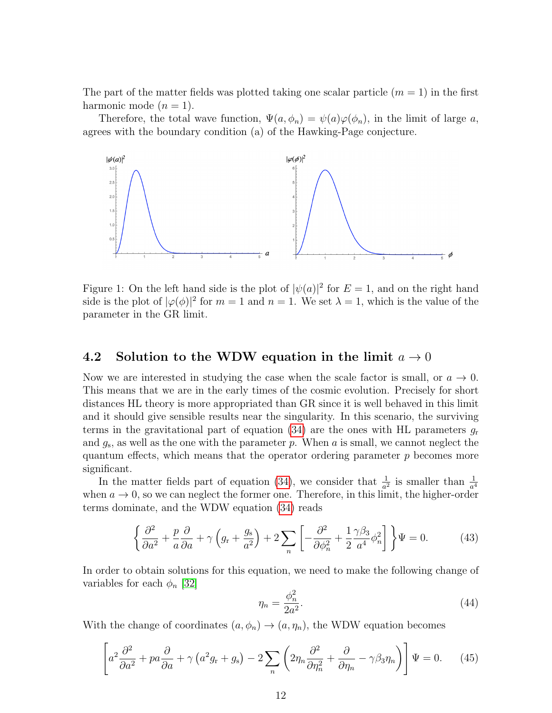The part of the matter fields was plotted taking one scalar particle  $(m = 1)$  in the first harmonic mode  $(n = 1)$ .

Therefore, the total wave function,  $\Psi(a, \phi_n) = \psi(a)\varphi(\phi_n)$ , in the limit of large a, agrees with the boundary condition (a) of the Hawking-Page conjecture.



<span id="page-11-0"></span>Figure 1: On the left hand side is the plot of  $|\psi(a)|^2$  for  $E=1$ , and on the right hand side is the plot of  $|\varphi(\phi)|^2$  for  $m = 1$  and  $n = 1$ . We set  $\lambda = 1$ , which is the value of the parameter in the GR limit.

### 4.2 Solution to the WDW equation in the limit  $a \to 0$

Now we are interested in studying the case when the scale factor is small, or  $a \to 0$ . This means that we are in the early times of the cosmic evolution. Precisely for short distances HL theory is more appropriated than GR since it is well behaved in this limit and it should give sensible results near the singularity. In this scenario, the surviving terms in the gravitational part of equation  $(34)$  are the ones with HL parameters  $g_r$ and  $g_s$ , as well as the one with the parameter p. When a is small, we cannot neglect the quantum effects, which means that the operator ordering parameter  $p$  becomes more significant.

In the matter fields part of equation [\(34\)](#page-9-0), we consider that  $\frac{1}{a^2}$  is smaller than  $\frac{1}{a^4}$ when  $a \to 0$ , so we can neglect the former one. Therefore, in this limit, the higher-order terms dominate, and the WDW equation [\(34\)](#page-9-0) reads

<span id="page-11-1"></span>
$$
\left\{\frac{\partial^2}{\partial a^2} + \frac{p}{a}\frac{\partial}{\partial a} + \gamma \left(g_r + \frac{g_s}{a^2}\right) + 2\sum_n \left[ -\frac{\partial^2}{\partial \phi_n^2} + \frac{1}{2}\frac{\gamma \beta_3}{a^4} \phi_n^2 \right] \right\} \Psi = 0.
$$
 (43)

In order to obtain solutions for this equation, we need to make the following change of variables for each  $\phi_n$  [\[32\]](#page-21-3)

$$
\eta_n = \frac{\phi_n^2}{2a^2}.\tag{44}
$$

With the change of coordinates  $(a, \phi_n) \rightarrow (a, \eta_n)$ , the WDW equation becomes

$$
\left[a^2 \frac{\partial^2}{\partial a^2} + pa \frac{\partial}{\partial a} + \gamma \left(a^2 g_{\rm r} + g_{\rm s}\right) - 2 \sum_n \left(2 \eta_n \frac{\partial^2}{\partial \eta_n^2} + \frac{\partial}{\partial \eta_n} - \gamma \beta_3 \eta_n\right)\right] \Psi = 0. \tag{45}
$$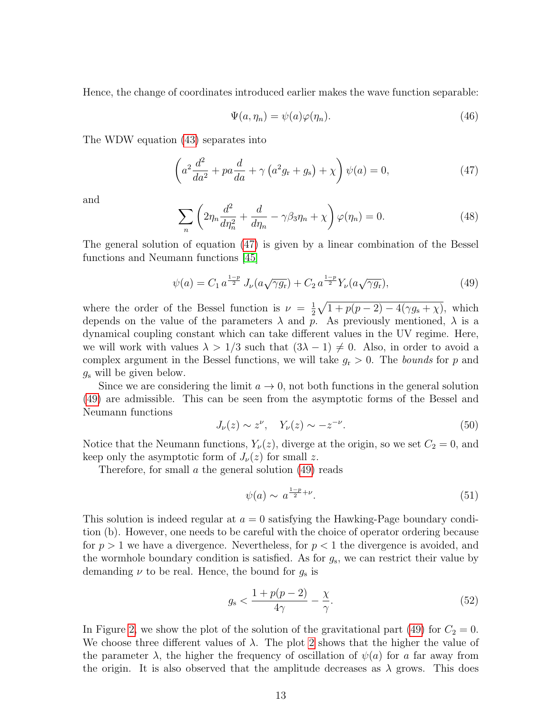Hence, the change of coordinates introduced earlier makes the wave function separable:

$$
\Psi(a,\eta_n) = \psi(a)\varphi(\eta_n). \tag{46}
$$

The WDW equation [\(43\)](#page-11-1) separates into

<span id="page-12-0"></span>
$$
\left(a^2 \frac{d^2}{da^2} + pa \frac{d}{da} + \gamma \left(a^2 g_\text{r} + g_\text{s}\right) + \chi\right) \psi(a) = 0,\tag{47}
$$

and

<span id="page-12-2"></span>
$$
\sum_{n} \left( 2\eta_n \frac{d^2}{d\eta_n^2} + \frac{d}{d\eta_n} - \gamma \beta_3 \eta_n + \chi \right) \varphi(\eta_n) = 0.
$$
 (48)

The general solution of equation [\(47\)](#page-12-0) is given by a linear combination of the Bessel functions and Neumann functions [\[45\]](#page-22-2)

<span id="page-12-1"></span>
$$
\psi(a) = C_1 a^{\frac{1-p}{2}} J_{\nu}(a\sqrt{\gamma g_r}) + C_2 a^{\frac{1-p}{2}} Y_{\nu}(a\sqrt{\gamma g_r}), \qquad (49)
$$

where the order of the Bessel function is  $\nu = \frac{1}{2}$  $\frac{1}{2}\sqrt{1+p(p-2)-4(\gamma g_{\rm s}+\chi)}$ , which depends on the value of the parameters  $\lambda$  and p. As previously mentioned,  $\lambda$  is a dynamical coupling constant which can take different values in the UV regime. Here, we will work with values  $\lambda > 1/3$  such that  $(3\lambda - 1) \neq 0$ . Also, in order to avoid a complex argument in the Bessel functions, we will take  $g_r > 0$ . The bounds for p and  $g<sub>s</sub>$  will be given below.

Since we are considering the limit  $a \to 0$ , not both functions in the general solution [\(49\)](#page-12-1) are admissible. This can be seen from the asymptotic forms of the Bessel and Neumann functions

$$
J_{\nu}(z) \sim z^{\nu}, \quad Y_{\nu}(z) \sim -z^{-\nu}.
$$
\n
$$
(50)
$$

Notice that the Neumann functions,  $Y_{\nu}(z)$ , diverge at the origin, so we set  $C_2 = 0$ , and keep only the asymptotic form of  $J_{\nu}(z)$  for small z.

Therefore, for small  $\alpha$  the general solution [\(49\)](#page-12-1) reads

$$
\psi(a) \sim a^{\frac{1-p}{2}+\nu}.\tag{51}
$$

This solution is indeed regular at  $a = 0$  satisfying the Hawking-Page boundary condition (b). However, one needs to be careful with the choice of operator ordering because for  $p > 1$  we have a divergence. Nevertheless, for  $p < 1$  the divergence is avoided, and the wormhole boundary condition is satisfied. As for  $g_s$ , we can restrict their value by demanding  $\nu$  to be real. Hence, the bound for  $g_s$  is

$$
g_{\rm s} < \frac{1 + p(p-2)}{4\gamma} - \frac{\chi}{\gamma}.\tag{52}
$$

In Figure [2,](#page-13-0) we show the plot of the solution of the gravitational part [\(49\)](#page-12-1) for  $C_2 = 0$ . We choose three different values of  $\lambda$ . The plot [2](#page-13-0) shows that the higher the value of the parameter  $\lambda$ , the higher the frequency of oscillation of  $\psi(a)$  for a far away from the origin. It is also observed that the amplitude decreases as  $\lambda$  grows. This does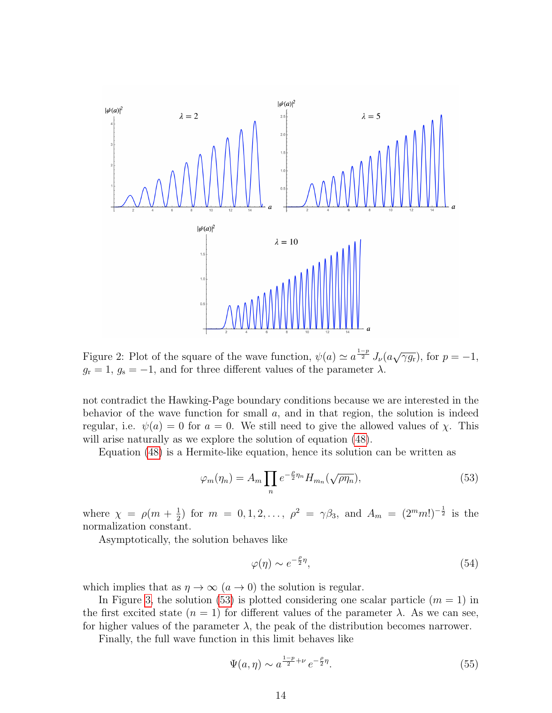

<span id="page-13-0"></span>Figure 2: Plot of the square of the wave function,  $\psi(a) \simeq a^{\frac{1-p}{2}} J_{\nu}(a\sqrt{\gamma g_{\nu}})$ , for  $p = -1$ ,  $g_r = 1, g_s = -1$ , and for three different values of the parameter  $\lambda$ .

not contradict the Hawking-Page boundary conditions because we are interested in the behavior of the wave function for small  $a$ , and in that region, the solution is indeed regular, i.e.  $\psi(a) = 0$  for  $a = 0$ . We still need to give the allowed values of x. This will arise naturally as we explore the solution of equation [\(48\)](#page-12-2).

Equation [\(48\)](#page-12-2) is a Hermite-like equation, hence its solution can be written as

<span id="page-13-1"></span>
$$
\varphi_m(\eta_n) = A_m \prod_n e^{-\frac{\rho}{2}\eta_n} H_{m_n}(\sqrt{\rho \eta_n}), \tag{53}
$$

where  $\chi = \rho(m + \frac{1}{2})$  $\frac{1}{2}$ ) for  $m = 0, 1, 2, \ldots, \ \rho^2 = \gamma \beta_3$ , and  $A_m = (2^m m!)^{-\frac{1}{2}}$  is the normalization constant.

Asymptotically, the solution behaves like

$$
\varphi(\eta) \sim e^{-\frac{\rho}{2}\eta},\tag{54}
$$

which implies that as  $\eta \to \infty$   $(a \to 0)$  the solution is regular.

In Figure [3,](#page-14-0) the solution [\(53\)](#page-13-1) is plotted considering one scalar particle  $(m = 1)$  in the first excited state  $(n = 1)$  for different values of the parameter  $\lambda$ . As we can see, for higher values of the parameter  $\lambda$ , the peak of the distribution becomes narrower.

Finally, the full wave function in this limit behaves like

<span id="page-13-2"></span>
$$
\Psi(a,\eta) \sim a^{\frac{1-p}{2}+\nu} e^{-\frac{\rho}{2}\eta}.\tag{55}
$$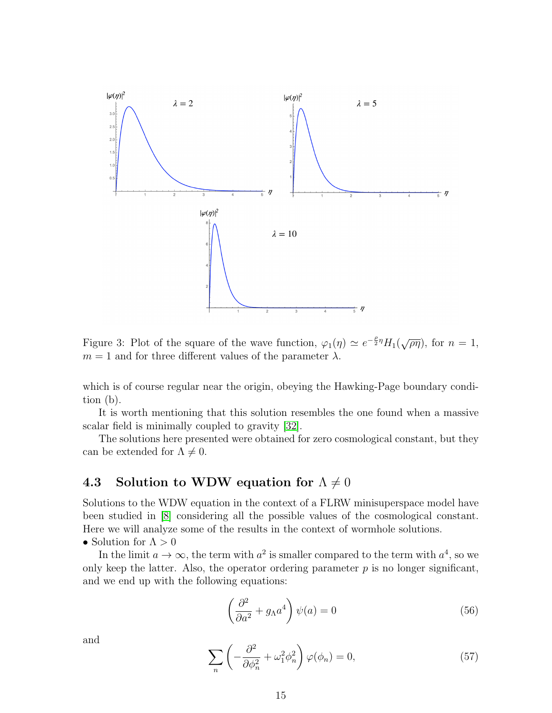

<span id="page-14-0"></span>Figure 3: Plot of the square of the wave function,  $\varphi_1(\eta) \simeq e^{-\frac{\rho}{2}\eta} H_1(\sqrt{\rho\eta})$ , for  $n = 1$ ,  $m = 1$  and for three different values of the parameter  $\lambda$ .

which is of course regular near the origin, obeying the Hawking-Page boundary condition (b).

It is worth mentioning that this solution resembles the one found when a massive scalar field is minimally coupled to gravity [\[32\]](#page-21-3).

The solutions here presented were obtained for zero cosmological constant, but they can be extended for  $\Lambda \neq 0$ .

# 4.3 Solution to WDW equation for  $\Lambda \neq 0$

Solutions to the WDW equation in the context of a FLRW minisuperspace model have been studied in [\[8\]](#page-19-7) considering all the possible values of the cosmological constant. Here we will analyze some of the results in the context of wormhole solutions.

• Solution for  $\Lambda > 0$ 

In the limit  $a \to \infty$ , the term with  $a^2$  is smaller compared to the term with  $a^4$ , so we only keep the latter. Also, the operator ordering parameter  $p$  is no longer significant, and we end up with the following equations:

<span id="page-14-1"></span>
$$
\left(\frac{\partial^2}{\partial a^2} + g_{\Lambda} a^4\right) \psi(a) = 0 \tag{56}
$$

and

<span id="page-14-2"></span>
$$
\sum_{n} \left( -\frac{\partial^2}{\partial \phi_n^2} + \omega_1^2 \phi_n^2 \right) \varphi(\phi_n) = 0, \tag{57}
$$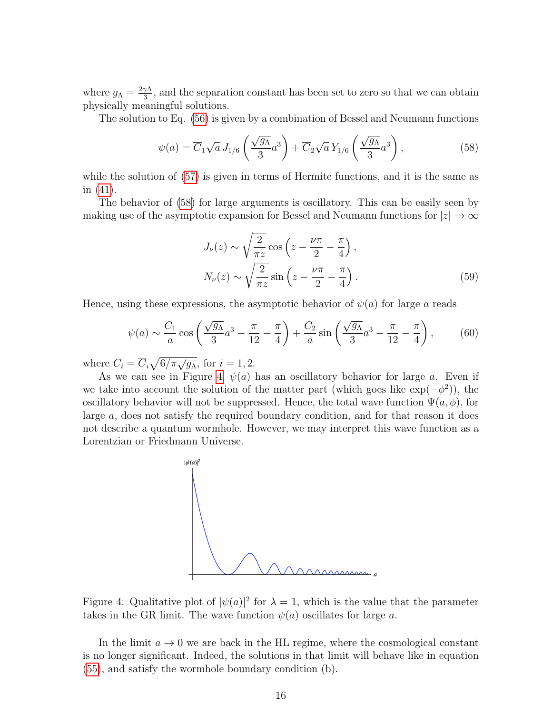where  $g_{\Lambda} = \frac{2\gamma \Lambda}{3}$  $\frac{\gamma \Lambda}{3}$ , and the separation constant has been set to zero so that we can obtain physically meaningful solutions.

The solution to Eq. [\(56\)](#page-14-1) is given by a combination of Bessel and Neumann functions

<span id="page-15-0"></span>
$$
\psi(a) = \overline{C}_1 \sqrt{a} J_{1/6} \left( \frac{\sqrt{g_A}}{3} a^3 \right) + \overline{C}_2 \sqrt{a} Y_{1/6} \left( \frac{\sqrt{g_A}}{3} a^3 \right), \tag{58}
$$

while the solution of  $(57)$  is given in terms of Hermite functions, and it is the same as in [\(41\)](#page-10-4).

The behavior of [\(58\)](#page-15-0) for large arguments is oscillatory. This can be easily seen by making use of the asymptotic expansion for Bessel and Neumann functions for  $|z| \to \infty$ 

$$
J_{\nu}(z) \sim \sqrt{\frac{2}{\pi z}} \cos \left(z - \frac{\nu \pi}{2} - \frac{\pi}{4}\right),
$$
  

$$
N_{\nu}(z) \sim \sqrt{\frac{2}{\pi z}} \sin \left(z - \frac{\nu \pi}{2} - \frac{\pi}{4}\right).
$$
 (59)

Hence, using these expressions, the asymptotic behavior of  $\psi(a)$  for large a reads

$$
\psi(a) \sim \frac{C_1}{a}\cos\left(\frac{\sqrt{g_A}}{3}a^3 - \frac{\pi}{12} - \frac{\pi}{4}\right) + \frac{C_2}{a}\sin\left(\frac{\sqrt{g_A}}{3}a^3 - \frac{\pi}{12} - \frac{\pi}{4}\right),\tag{60}
$$

where  $C_i = \overline{C}_i \sqrt{6/\pi \sqrt{g_{\Lambda}}}$ , for  $i = 1, 2$ .

As we can see in Figure [4,](#page-15-1)  $\psi(a)$  has an oscillatory behavior for large a. Even if we take into account the solution of the matter part (which goes like  $\exp(-\phi^2)$ ), the oscillatory behavior will not be suppressed. Hence, the total wave function  $\Psi(a, \phi)$ , for large a, does not satisfy the required boundary condition, and for that reason it does not describe a quantum wormhole. However, we may interpret this wave function as a Lorentzian or Friedmann Universe.



<span id="page-15-1"></span>Figure 4: Qualitative plot of  $|\psi(a)|^2$  for  $\lambda = 1$ , which is the value that the parameter takes in the GR limit. The wave function  $\psi(a)$  oscillates for large a.

In the limit  $a \to 0$  we are back in the HL regime, where the cosmological constant is no longer significant. Indeed, the solutions in that limit will behave like in equation [\(55\)](#page-13-2), and satisfy the wormhole boundary condition (b).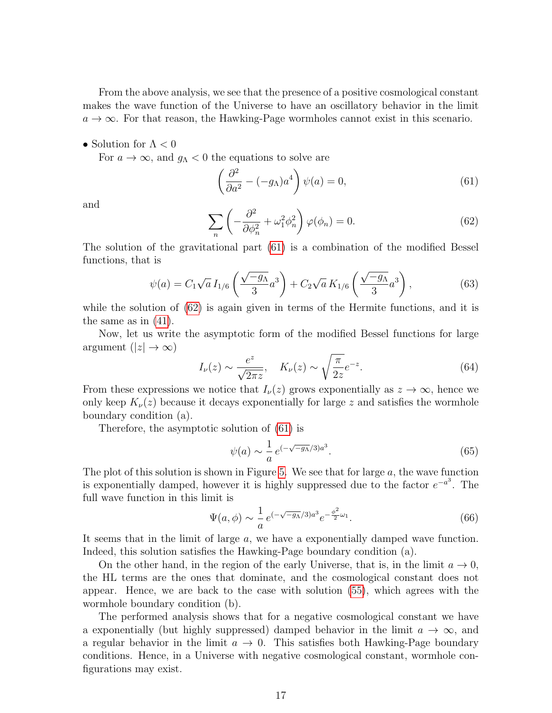From the above analysis, we see that the presence of a positive cosmological constant makes the wave function of the Universe to have an oscillatory behavior in the limit  $a \rightarrow \infty$ . For that reason, the Hawking-Page wormholes cannot exist in this scenario.

• Solution for  $\Lambda < 0$ 

For  $a \to \infty$ , and  $g_{\Lambda} < 0$  the equations to solve are

<span id="page-16-0"></span>
$$
\left(\frac{\partial^2}{\partial a^2} - (-g_\Lambda)a^4\right)\psi(a) = 0,\tag{61}
$$

and

<span id="page-16-1"></span>
$$
\sum_{n} \left( -\frac{\partial^2}{\partial \phi_n^2} + \omega_1^2 \phi_n^2 \right) \varphi(\phi_n) = 0. \tag{62}
$$

The solution of the gravitational part [\(61\)](#page-16-0) is a combination of the modified Bessel functions, that is

$$
\psi(a) = C_1 \sqrt{a} I_{1/6} \left( \frac{\sqrt{-g_A}}{3} a^3 \right) + C_2 \sqrt{a} K_{1/6} \left( \frac{\sqrt{-g_A}}{3} a^3 \right), \tag{63}
$$

while the solution of  $(62)$  is again given in terms of the Hermite functions, and it is the same as in [\(41\)](#page-10-4).

Now, let us write the asymptotic form of the modified Bessel functions for large argument  $(|z| \to \infty)$ 

$$
I_{\nu}(z) \sim \frac{e^z}{\sqrt{2\pi z}}, \quad K_{\nu}(z) \sim \sqrt{\frac{\pi}{2z}}e^{-z}.
$$
 (64)

From these expressions we notice that  $I_{\nu}(z)$  grows exponentially as  $z \to \infty$ , hence we only keep  $K_{\nu}(z)$  because it decays exponentially for large z and satisfies the wormhole boundary condition (a).

Therefore, the asymptotic solution of [\(61\)](#page-16-0) is

$$
\psi(a) \sim \frac{1}{a} e^{(-\sqrt{-g_A}/3)a^3}.\tag{65}
$$

The plot of this solution is shown in Figure [5.](#page-17-0) We see that for large  $a$ , the wave function is exponentially damped, however it is highly suppressed due to the factor  $e^{-a^3}$ . The full wave function in this limit is

$$
\Psi(a,\phi) \sim \frac{1}{a} \, e^{(-\sqrt{-g_A}/3)a^3} e^{-\frac{\phi^2}{2}\omega_1}.\tag{66}
$$

It seems that in the limit of large a, we have a exponentially damped wave function. Indeed, this solution satisfies the Hawking-Page boundary condition (a).

On the other hand, in the region of the early Universe, that is, in the limit  $a \to 0$ , the HL terms are the ones that dominate, and the cosmological constant does not appear. Hence, we are back to the case with solution [\(55\)](#page-13-2), which agrees with the wormhole boundary condition (b).

The performed analysis shows that for a negative cosmological constant we have a exponentially (but highly suppressed) damped behavior in the limit  $a \to \infty$ , and a regular behavior in the limit  $a \to 0$ . This satisfies both Hawking-Page boundary conditions. Hence, in a Universe with negative cosmological constant, wormhole configurations may exist.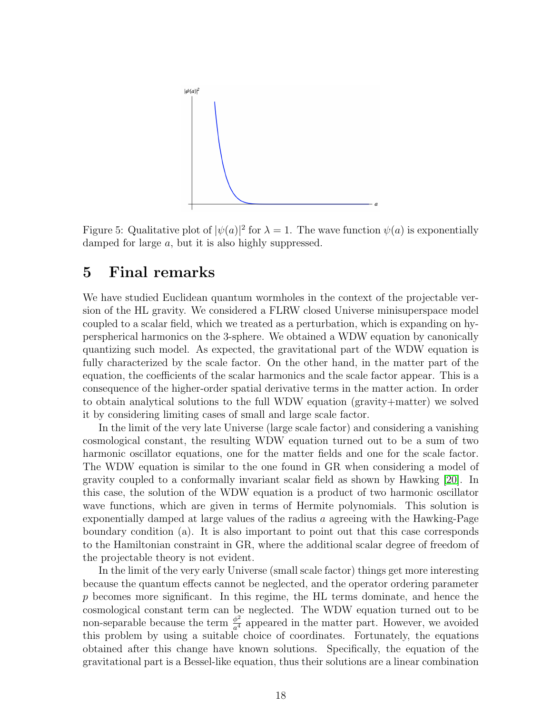

<span id="page-17-0"></span>Figure 5: Qualitative plot of  $|\psi(a)|^2$  for  $\lambda = 1$ . The wave function  $\psi(a)$  is exponentially damped for large a, but it is also highly suppressed.

## 5 Final remarks

We have studied Euclidean quantum wormholes in the context of the projectable version of the HL gravity. We considered a FLRW closed Universe minisuperspace model coupled to a scalar field, which we treated as a perturbation, which is expanding on hyperspherical harmonics on the 3-sphere. We obtained a WDW equation by canonically quantizing such model. As expected, the gravitational part of the WDW equation is fully characterized by the scale factor. On the other hand, in the matter part of the equation, the coefficients of the scalar harmonics and the scale factor appear. This is a consequence of the higher-order spatial derivative terms in the matter action. In order to obtain analytical solutions to the full WDW equation (gravity+matter) we solved it by considering limiting cases of small and large scale factor.

In the limit of the very late Universe (large scale factor) and considering a vanishing cosmological constant, the resulting WDW equation turned out to be a sum of two harmonic oscillator equations, one for the matter fields and one for the scale factor. The WDW equation is similar to the one found in GR when considering a model of gravity coupled to a conformally invariant scalar field as shown by Hawking [\[20\]](#page-20-6). In this case, the solution of the WDW equation is a product of two harmonic oscillator wave functions, which are given in terms of Hermite polynomials. This solution is exponentially damped at large values of the radius a agreeing with the Hawking-Page boundary condition (a). It is also important to point out that this case corresponds to the Hamiltonian constraint in GR, where the additional scalar degree of freedom of the projectable theory is not evident.

In the limit of the very early Universe (small scale factor) things get more interesting because the quantum effects cannot be neglected, and the operator ordering parameter p becomes more significant. In this regime, the HL terms dominate, and hence the cosmological constant term can be neglected. The WDW equation turned out to be non-separable because the term  $\frac{\phi^2}{\sigma^4}$  $\frac{\phi^2}{a^4}$  appeared in the matter part. However, we avoided this problem by using a suitable choice of coordinates. Fortunately, the equations obtained after this change have known solutions. Specifically, the equation of the gravitational part is a Bessel-like equation, thus their solutions are a linear combination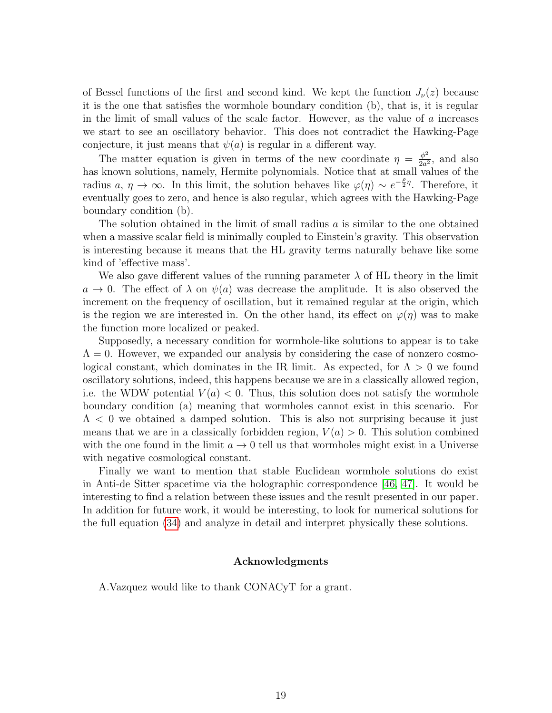of Bessel functions of the first and second kind. We kept the function  $J_{\nu}(z)$  because it is the one that satisfies the wormhole boundary condition (b), that is, it is regular in the limit of small values of the scale factor. However, as the value of  $a$  increases we start to see an oscillatory behavior. This does not contradict the Hawking-Page conjecture, it just means that  $\psi(a)$  is regular in a different way.

The matter equation is given in terms of the new coordinate  $\eta = \frac{\phi^2}{2g}$  $\frac{\phi^2}{2a^2}$ , and also has known solutions, namely, Hermite polynomials. Notice that at small values of the radius  $a, \eta \to \infty$ . In this limit, the solution behaves like  $\varphi(\eta) \sim e^{-\frac{\rho}{2}\eta}$ . Therefore, it eventually goes to zero, and hence is also regular, which agrees with the Hawking-Page boundary condition (b).

The solution obtained in the limit of small radius  $a$  is similar to the one obtained when a massive scalar field is minimally coupled to Einstein's gravity. This observation is interesting because it means that the HL gravity terms naturally behave like some kind of 'effective mass'.

We also gave different values of the running parameter  $\lambda$  of HL theory in the limit  $a \to 0$ . The effect of  $\lambda$  on  $\psi(a)$  was decrease the amplitude. It is also observed the increment on the frequency of oscillation, but it remained regular at the origin, which is the region we are interested in. On the other hand, its effect on  $\varphi(\eta)$  was to make the function more localized or peaked.

Supposedly, a necessary condition for wormhole-like solutions to appear is to take  $\Lambda = 0$ . However, we expanded our analysis by considering the case of nonzero cosmological constant, which dominates in the IR limit. As expected, for  $\Lambda > 0$  we found oscillatory solutions, indeed, this happens because we are in a classically allowed region, i.e. the WDW potential  $V(a) < 0$ . Thus, this solution does not satisfy the wormhole boundary condition (a) meaning that wormholes cannot exist in this scenario. For  $\Lambda$  < 0 we obtained a damped solution. This is also not surprising because it just means that we are in a classically forbidden region,  $V(a) > 0$ . This solution combined with the one found in the limit  $a \to 0$  tell us that wormholes might exist in a Universe with negative cosmological constant.

Finally we want to mention that stable Euclidean wormhole solutions do exist in Anti-de Sitter spacetime via the holographic correspondence [\[46,](#page-22-3) [47\]](#page-22-4). It would be interesting to find a relation between these issues and the result presented in our paper. In addition for future work, it would be interesting, to look for numerical solutions for the full equation [\(34\)](#page-9-0) and analyze in detail and interpret physically these solutions.

#### Acknowledgments

A.Vazquez would like to thank CONACyT for a grant.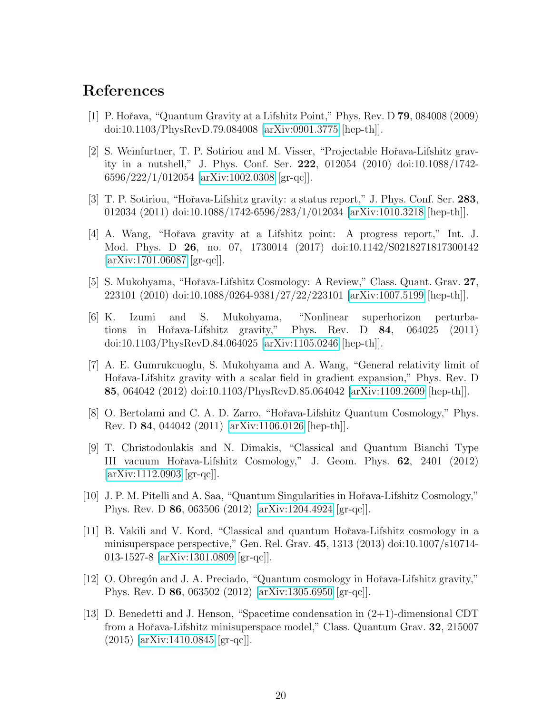## References

- <span id="page-19-0"></span>[1] P. Hoˇrava, "Quantum Gravity at a Lifshitz Point," Phys. Rev. D 79, 084008 (2009) doi:10.1103/PhysRevD.79.084008 [\[arXiv:0901.3775](http://arxiv.org/abs/0901.3775) [hep-th]].
- <span id="page-19-1"></span>[2] S. Weinfurtner, T. P. Sotiriou and M. Visser, "Projectable Hořava-Lifshitz gravity in a nutshell," J. Phys. Conf. Ser. 222, 012054 (2010) doi:10.1088/1742- 6596/222/1/012054 [\[arXiv:1002.0308](http://arxiv.org/abs/1002.0308) [gr-qc]].
- <span id="page-19-2"></span>[3] T. P. Sotiriou, "Hoˇrava-Lifshitz gravity: a status report," J. Phys. Conf. Ser. 283, 012034 (2011) doi:10.1088/1742-6596/283/1/012034 [\[arXiv:1010.3218](http://arxiv.org/abs/1010.3218) [hep-th]].
- <span id="page-19-3"></span>[4] A. Wang, "Hoˇrava gravity at a Lifshitz point: A progress report," Int. J. Mod. Phys. D 26, no. 07, 1730014 (2017) doi:10.1142/S0218271817300142  $[\text{arXiv:1701.06087} \; [\text{gr-qc}]].$
- <span id="page-19-4"></span>[5] S. Mukohyama, "Hoˇrava-Lifshitz Cosmology: A Review," Class. Quant. Grav. 27, 223101 (2010) doi:10.1088/0264-9381/27/22/223101 [\[arXiv:1007.5199](http://arxiv.org/abs/1007.5199) [hep-th]].
- <span id="page-19-5"></span>[6] K. Izumi and S. Mukohyama, "Nonlinear superhorizon perturbations in Hoˇrava-Lifshitz gravity," Phys. Rev. D 84, 064025 (2011) doi:10.1103/PhysRevD.84.064025 [\[arXiv:1105.0246](http://arxiv.org/abs/1105.0246) [hep-th]].
- <span id="page-19-6"></span>[7] A. E. Gumrukcuoglu, S. Mukohyama and A. Wang, "General relativity limit of Hořava-Lifshitz gravity with a scalar field in gradient expansion," Phys. Rev. D 85, 064042 (2012) doi:10.1103/PhysRevD.85.064042 [\[arXiv:1109.2609](http://arxiv.org/abs/1109.2609) [hep-th]].
- <span id="page-19-7"></span>[8] O. Bertolami and C. A. D. Zarro, "Hoˇrava-Lifshitz Quantum Cosmology," Phys. Rev. D 84, 044042 (2011) [\[arXiv:1106.0126](http://arxiv.org/abs/1106.0126) [hep-th]].
- <span id="page-19-8"></span>[9] T. Christodoulakis and N. Dimakis, "Classical and Quantum Bianchi Type III vacuum Hoˇrava-Lifshitz Cosmology," J. Geom. Phys. 62, 2401 (2012) [\[arXiv:1112.0903](http://arxiv.org/abs/1112.0903) [gr-qc]].
- <span id="page-19-9"></span>[10] J. P. M. Pitelli and A. Saa, "Quantum Singularities in Hoˇrava-Lifshitz Cosmology," Phys. Rev. D 86, 063506 (2012) [\[arXiv:1204.4924](http://arxiv.org/abs/1204.4924) [gr-qc]].
- <span id="page-19-10"></span>[11] B. Vakili and V. Kord, "Classical and quantum Hoˇrava-Lifshitz cosmology in a minisuperspace perspective," Gen. Rel. Grav. 45, 1313 (2013) doi:10.1007/s10714- 013-1527-8 [\[arXiv:1301.0809](http://arxiv.org/abs/1301.0809) [gr-qc]].
- <span id="page-19-11"></span>[12] O. Obregón and J. A. Preciado, "Quantum cosmology in Hořava-Lifshitz gravity," Phys. Rev. D 86, 063502 (2012) [\[arXiv:1305.6950](http://arxiv.org/abs/1305.6950) [gr-qc]].
- <span id="page-19-12"></span>[13] D. Benedetti and J. Henson, "Spacetime condensation in (2+1)-dimensional CDT from a Hořava-Lifshitz minisuperspace model," Class. Quantum Grav. 32, 215007 (2015) [\[arXiv:1410.0845](http://arxiv.org/abs/1410.0845) [gr-qc]].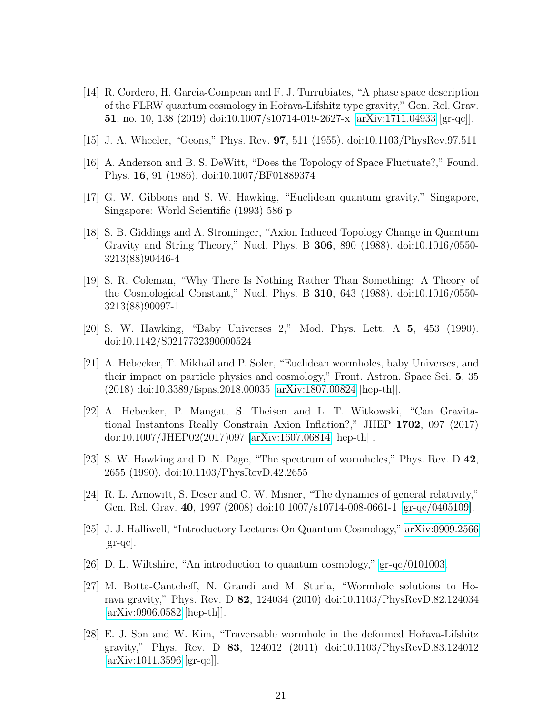- <span id="page-20-0"></span>[14] R. Cordero, H. Garcia-Compean and F. J. Turrubiates, "A phase space description of the FLRW quantum cosmology in Hoˇrava-Lifshitz type gravity," Gen. Rel. Grav. 51, no. 10, 138 (2019) doi:10.1007/s10714-019-2627-x [\[arXiv:1711.04933](http://arxiv.org/abs/1711.04933) [gr-qc]].
- <span id="page-20-1"></span>[15] J. A. Wheeler, "Geons," Phys. Rev. 97, 511 (1955). doi:10.1103/PhysRev.97.511
- <span id="page-20-2"></span>[16] A. Anderson and B. S. DeWitt, "Does the Topology of Space Fluctuate?," Found. Phys. 16, 91 (1986). doi:10.1007/BF01889374
- <span id="page-20-3"></span>[17] G. W. Gibbons and S. W. Hawking, "Euclidean quantum gravity," Singapore, Singapore: World Scientific (1993) 586 p
- <span id="page-20-4"></span>[18] S. B. Giddings and A. Strominger, "Axion Induced Topology Change in Quantum Gravity and String Theory," Nucl. Phys. B 306, 890 (1988). doi:10.1016/0550- 3213(88)90446-4
- <span id="page-20-5"></span>[19] S. R. Coleman, "Why There Is Nothing Rather Than Something: A Theory of the Cosmological Constant," Nucl. Phys. B 310, 643 (1988). doi:10.1016/0550- 3213(88)90097-1
- <span id="page-20-6"></span>[20] S. W. Hawking, "Baby Universes 2," Mod. Phys. Lett. A 5, 453 (1990). doi:10.1142/S0217732390000524
- <span id="page-20-7"></span>[21] A. Hebecker, T. Mikhail and P. Soler, "Euclidean wormholes, baby Universes, and their impact on particle physics and cosmology," Front. Astron. Space Sci. 5, 35 (2018) doi:10.3389/fspas.2018.00035 [\[arXiv:1807.00824](http://arxiv.org/abs/1807.00824) [hep-th]].
- <span id="page-20-8"></span>[22] A. Hebecker, P. Mangat, S. Theisen and L. T. Witkowski, "Can Gravitational Instantons Really Constrain Axion Inflation?," JHEP 1702, 097 (2017) doi:10.1007/JHEP02(2017)097 [\[arXiv:1607.06814](http://arxiv.org/abs/1607.06814) [hep-th]].
- <span id="page-20-9"></span>[23] S. W. Hawking and D. N. Page, "The spectrum of wormholes," Phys. Rev. D 42, 2655 (1990). doi:10.1103/PhysRevD.42.2655
- <span id="page-20-10"></span>[24] R. L. Arnowitt, S. Deser and C. W. Misner, "The dynamics of general relativity," Gen. Rel. Grav. 40, 1997 (2008) doi:10.1007/s10714-008-0661-1 [\[gr-qc/0405109\]](http://arxiv.org/abs/gr-qc/0405109).
- <span id="page-20-11"></span>[25] J. J. Halliwell, "Introductory Lectures On Quantum Cosmology," [arXiv:0909.2566](http://arxiv.org/abs/0909.2566)  $\left[\text{gr-qc}\right]$ .
- <span id="page-20-12"></span>[26] D. L. Wiltshire, "An introduction to quantum cosmology," [gr-qc/0101003.](http://arxiv.org/abs/gr-qc/0101003)
- <span id="page-20-13"></span>[27] M. Botta-Cantcheff, N. Grandi and M. Sturla, "Wormhole solutions to Horava gravity," Phys. Rev. D 82, 124034 (2010) doi:10.1103/PhysRevD.82.124034 [\[arXiv:0906.0582](http://arxiv.org/abs/0906.0582) [hep-th]].
- <span id="page-20-14"></span>[28] E. J. Son and W. Kim, "Traversable wormhole in the deformed Hořava-Lifshitz gravity," Phys. Rev. D 83, 124012 (2011) doi:10.1103/PhysRevD.83.124012  $|\text{arXiv:1011.3596}|\text{gr-qc}|$ .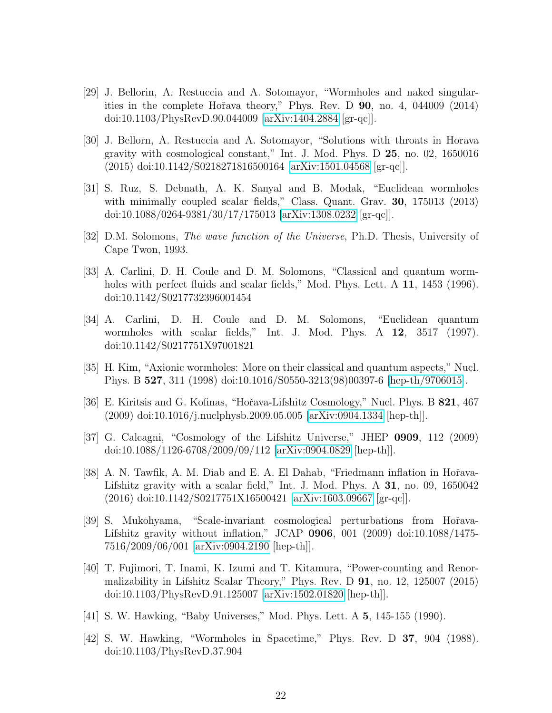- <span id="page-21-0"></span>[29] J. Bellorin, A. Restuccia and A. Sotomayor, "Wormholes and naked singularities in the complete Hoˇrava theory," Phys. Rev. D 90, no. 4, 044009 (2014) doi:10.1103/PhysRevD.90.044009 [\[arXiv:1404.2884](http://arxiv.org/abs/1404.2884) [gr-qc]].
- <span id="page-21-1"></span>[30] J. Bellorn, A. Restuccia and A. Sotomayor, "Solutions with throats in Horava gravity with cosmological constant," Int. J. Mod. Phys. D 25, no. 02, 1650016 (2015) doi:10.1142/S0218271816500164 [\[arXiv:1501.04568](http://arxiv.org/abs/1501.04568) [gr-qc]].
- <span id="page-21-2"></span>[31] S. Ruz, S. Debnath, A. K. Sanyal and B. Modak, "Euclidean wormholes with minimally coupled scalar fields," Class. Quant. Grav. 30, 175013 (2013) doi:10.1088/0264-9381/30/17/175013 [\[arXiv:1308.0232](http://arxiv.org/abs/1308.0232) [gr-qc]].
- <span id="page-21-3"></span>[32] D.M. Solomons, The wave function of the Universe, Ph.D. Thesis, University of Cape Twon, 1993.
- <span id="page-21-4"></span>[33] A. Carlini, D. H. Coule and D. M. Solomons, "Classical and quantum wormholes with perfect fluids and scalar fields," Mod. Phys. Lett. A 11, 1453 (1996). doi:10.1142/S0217732396001454
- <span id="page-21-5"></span>[34] A. Carlini, D. H. Coule and D. M. Solomons, "Euclidean quantum wormholes with scalar fields," Int. J. Mod. Phys. A 12, 3517 (1997). doi:10.1142/S0217751X97001821
- <span id="page-21-6"></span>[35] H. Kim, "Axionic wormholes: More on their classical and quantum aspects," Nucl. Phys. B 527, 311 (1998) doi:10.1016/S0550-3213(98)00397-6 [\[hep-th/9706015\]](http://arxiv.org/abs/hep-th/9706015).
- <span id="page-21-7"></span>[36] E. Kiritsis and G. Kofinas, "Hořava-Lifshitz Cosmology," Nucl. Phys. B 821, 467 (2009) doi:10.1016/j.nuclphysb.2009.05.005 [\[arXiv:0904.1334](http://arxiv.org/abs/0904.1334) [hep-th]].
- <span id="page-21-8"></span>[37] G. Calcagni, "Cosmology of the Lifshitz Universe," JHEP 0909, 112 (2009) doi:10.1088/1126-6708/2009/09/112 [\[arXiv:0904.0829](http://arxiv.org/abs/0904.0829) [hep-th]].
- <span id="page-21-9"></span>[38] A. N. Tawfik, A. M. Diab and E. A. El Dahab, "Friedmann inflation in Hořava-Lifshitz gravity with a scalar field," Int. J. Mod. Phys. A 31, no. 09, 1650042 (2016) doi:10.1142/S0217751X16500421 [\[arXiv:1603.09667](http://arxiv.org/abs/1603.09667) [gr-qc]].
- <span id="page-21-10"></span>[39] S. Mukohyama, "Scale-invariant cosmological perturbations from Hoˇrava-Lifshitz gravity without inflation," JCAP 0906, 001 (2009) doi:10.1088/1475- 7516/2009/06/001 [\[arXiv:0904.2190](http://arxiv.org/abs/0904.2190) [hep-th]].
- <span id="page-21-11"></span>[40] T. Fujimori, T. Inami, K. Izumi and T. Kitamura, "Power-counting and Renormalizability in Lifshitz Scalar Theory," Phys. Rev. D 91, no. 12, 125007 (2015) doi:10.1103/PhysRevD.91.125007 [\[arXiv:1502.01820](http://arxiv.org/abs/1502.01820) [hep-th]].
- <span id="page-21-12"></span>[41] S. W. Hawking, "Baby Universes," Mod. Phys. Lett. A 5, 145-155 (1990).
- <span id="page-21-13"></span>[42] S. W. Hawking, "Wormholes in Spacetime," Phys. Rev. D 37, 904 (1988). doi:10.1103/PhysRevD.37.904